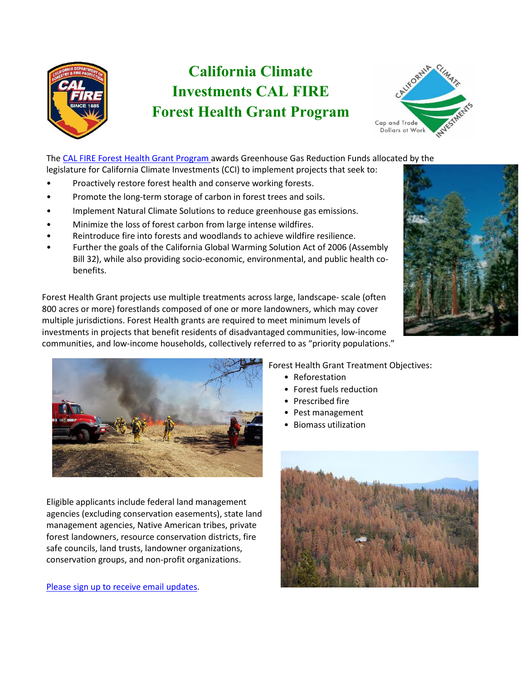

# **California Climate Investments CAL FIRE Forest Health Grant Program**



The [CAL FIRE Forest Health Grant Program a](https://www.fire.ca.gov/grants/forest-health-grants/)wards Greenhouse Gas Reduction Funds allocated by the legislature for California Climate Investments (CCI) to implement projects that seek to:

- Proactively restore forest health and conserve working forests.
- Promote the long-term storage of carbon in forest trees and soils.
- Implement Natural Climate Solutions to reduce greenhouse gas emissions.
- Minimize the loss of forest carbon from large intense wildfires.
- Reintroduce fire into forests and woodlands to achieve wildfire resilience.
- Further the goals of the California Global Warming Solution Act of 2006 (Assembly Bill 32), while also providing socio-economic, environmental, and public health cobenefits.

 Forest Health Grant projects use multiple treatments across large, landscape- scale (often 800 acres or more) forestlands composed of one or more landowners, which may cover communities, and low-income households, collectively referred to as "priority populations." multiple jurisdictions. Forest Health grants are required to meet minimum levels of investments in projects that benefit residents of disadvantaged communities, low-income



Eligible applicants include federal land management agencies (excluding conservation easements), state land management agencies, Native American tribes, private forest landowners, resource conservation districts, fire safe councils, land trusts, landowner organizations, conservation groups, and non-profit organizations.

[Please sign up to receive email updates.](https://fire.us8.list-manage.com/subscribe?u=1eab3f5545f6a6e4d33c94dcb&id=c330a569ca)

## Forest Health Grant Treatment Objectives:

- Reforestation
- Forest fuels reduction
- Prescribed fire
- Pest management
- Biomass utilization